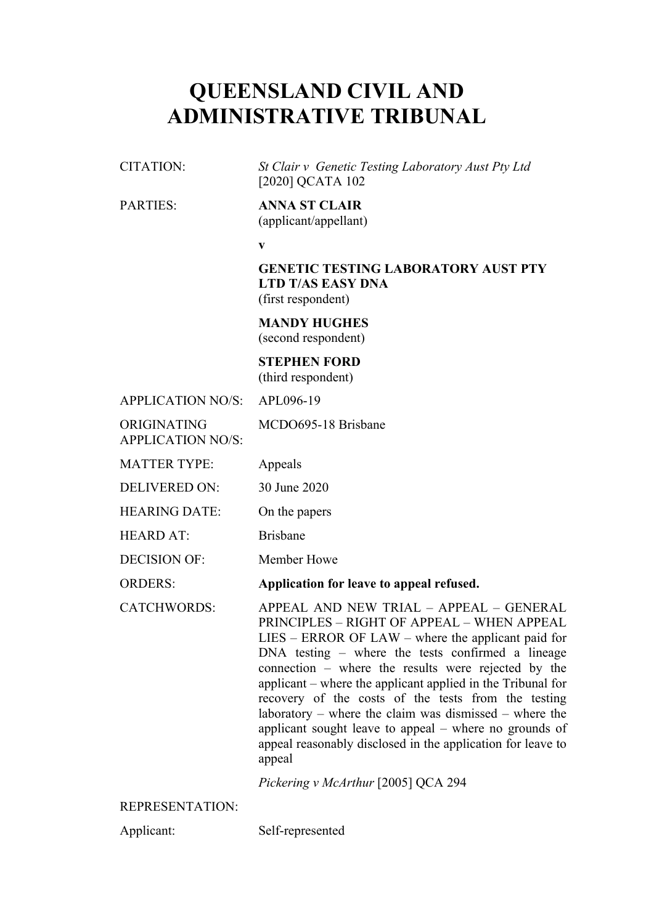## **QUEENSLAND CIVIL AND ADMINISTRATIVE TRIBUNAL**

CITATION: *St Clair v Genetic Testing Laboratory Aust Pty Ltd*  [2020] QCATA 102

## PARTIES: **ANNA ST CLAIR**

(applicant/appellant)

**v**

**GENETIC TESTING LABORATORY AUST PTY LTD T/AS EASY DNA** (first respondent)

**MANDY HUGHES** (second respondent)

**STEPHEN FORD** (third respondent)

APPLICATION NO/S: APL096-19

ORIGINATING APPLICATION NO/S: MCDO695-18 Brisbane

MATTER TYPE: Appeals

DELIVERED ON: 30 June 2020

HEARING DATE: On the papers

HEARD AT<sup>.</sup> Brisbane

DECISION OF: Member Howe

ORDERS: **Application for leave to appeal refused.**

CATCHWORDS: APPEAL AND NEW TRIAL – APPEAL – GENERAL PRINCIPLES – RIGHT OF APPEAL – WHEN APPEAL

LIES – ERROR OF LAW – where the applicant paid for DNA testing – where the tests confirmed a lineage connection – where the results were rejected by the applicant – where the applicant applied in the Tribunal for recovery of the costs of the tests from the testing laboratory – where the claim was dismissed – where the applicant sought leave to appeal – where no grounds of appeal reasonably disclosed in the application for leave to appeal

*Pickering v McArthur* [2005] QCA 294

REPRESENTATION:

Applicant: Self-represented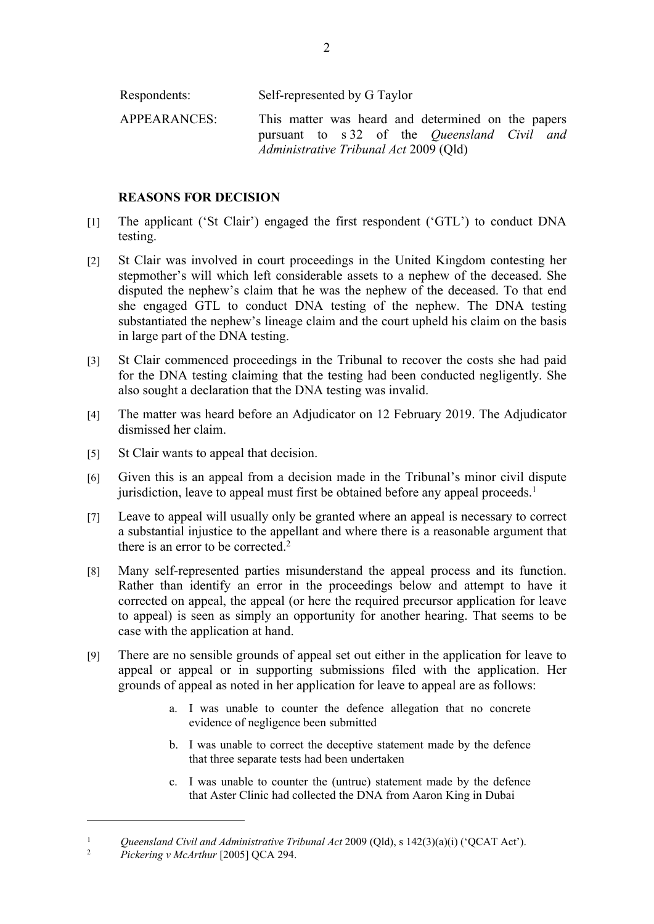| Respondents: | Self-represented by G Taylor                                                                                                                               |
|--------------|------------------------------------------------------------------------------------------------------------------------------------------------------------|
| APPEARANCES: | This matter was heard and determined on the papers<br>pursuant to s 32 of the <i>Queensland Civil and</i><br><i>Administrative Tribunal Act 2009 (Qld)</i> |

## **REASONS FOR DECISION**

- [1] The applicant ('St Clair') engaged the first respondent ('GTL') to conduct DNA testing.
- [2] St Clair was involved in court proceedings in the United Kingdom contesting her stepmother's will which left considerable assets to a nephew of the deceased. She disputed the nephew's claim that he was the nephew of the deceased. To that end she engaged GTL to conduct DNA testing of the nephew. The DNA testing substantiated the nephew's lineage claim and the court upheld his claim on the basis in large part of the DNA testing.
- [3] St Clair commenced proceedings in the Tribunal to recover the costs she had paid for the DNA testing claiming that the testing had been conducted negligently. She also sought a declaration that the DNA testing was invalid.
- [4] The matter was heard before an Adjudicator on 12 February 2019. The Adjudicator dismissed her claim.
- [5] St Clair wants to appeal that decision.
- [6] Given this is an appeal from a decision made in the Tribunal's minor civil dispute jurisdiction, leave to appeal must first be obtained before any appeal proceeds.<sup>1</sup>
- [7] Leave to appeal will usually only be granted where an appeal is necessary to correct a substantial injustice to the appellant and where there is a reasonable argument that there is an error to be corrected.<sup>2</sup>
- [8] Many self-represented parties misunderstand the appeal process and its function. Rather than identify an error in the proceedings below and attempt to have it corrected on appeal, the appeal (or here the required precursor application for leave to appeal) is seen as simply an opportunity for another hearing. That seems to be case with the application at hand.
- [9] There are no sensible grounds of appeal set out either in the application for leave to appeal or appeal or in supporting submissions filed with the application. Her grounds of appeal as noted in her application for leave to appeal are as follows:
	- a. I was unable to counter the defence allegation that no concrete evidence of negligence been submitted
	- b. I was unable to correct the deceptive statement made by the defence that three separate tests had been undertaken
	- c. I was unable to counter the (untrue) statement made by the defence that Aster Clinic had collected the DNA from Aaron King in Dubai

<sup>&</sup>lt;sup>1</sup> *Queensland Civil and Administrative Tribunal Act* 2009 (Qld), s 142(3)(a)(i) ('QCAT Act').

<sup>2</sup> *Pickering v McArthur* [2005] QCA 294.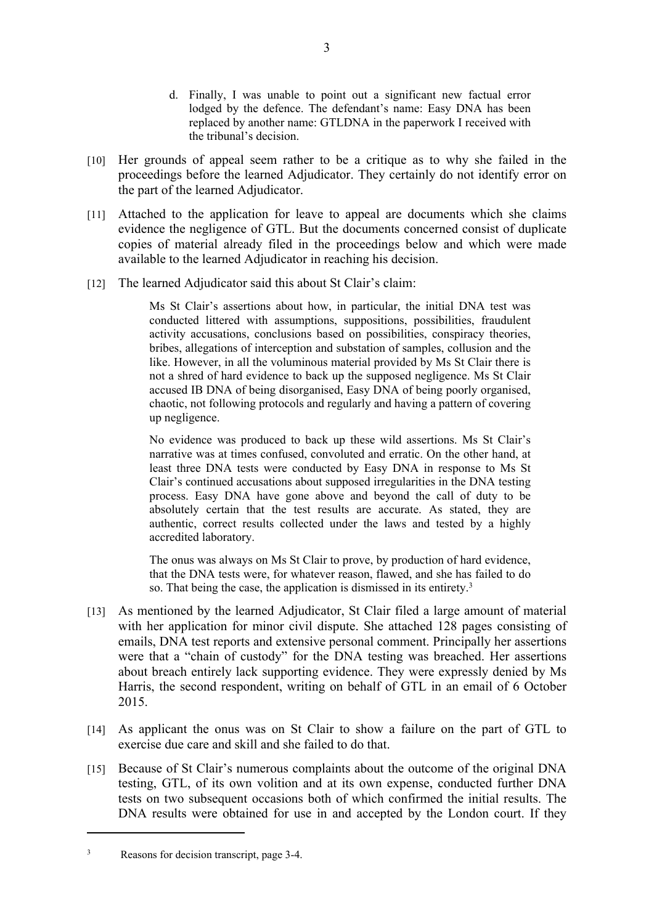- d. Finally, I was unable to point out a significant new factual error lodged by the defence. The defendant's name: Easy DNA has been replaced by another name: GTLDNA in the paperwork I received with the tribunal's decision.
- [10] Her grounds of appeal seem rather to be a critique as to why she failed in the proceedings before the learned Adjudicator. They certainly do not identify error on the part of the learned Adjudicator.
- [11] Attached to the application for leave to appeal are documents which she claims evidence the negligence of GTL. But the documents concerned consist of duplicate copies of material already filed in the proceedings below and which were made available to the learned Adjudicator in reaching his decision.
- [12] The learned Adjudicator said this about St Clair's claim:

Ms St Clair's assertions about how, in particular, the initial DNA test was conducted littered with assumptions, suppositions, possibilities, fraudulent activity accusations, conclusions based on possibilities, conspiracy theories, bribes, allegations of interception and substation of samples, collusion and the like. However, in all the voluminous material provided by Ms St Clair there is not a shred of hard evidence to back up the supposed negligence. Ms St Clair accused IB DNA of being disorganised, Easy DNA of being poorly organised, chaotic, not following protocols and regularly and having a pattern of covering up negligence.

No evidence was produced to back up these wild assertions. Ms St Clair's narrative was at times confused, convoluted and erratic. On the other hand, at least three DNA tests were conducted by Easy DNA in response to Ms St Clair's continued accusations about supposed irregularities in the DNA testing process. Easy DNA have gone above and beyond the call of duty to be absolutely certain that the test results are accurate. As stated, they are authentic, correct results collected under the laws and tested by a highly accredited laboratory.

The onus was always on Ms St Clair to prove, by production of hard evidence, that the DNA tests were, for whatever reason, flawed, and she has failed to do so. That being the case, the application is dismissed in its entirety.<sup>3</sup>

- [13] As mentioned by the learned Adjudicator, St Clair filed a large amount of material with her application for minor civil dispute. She attached 128 pages consisting of emails, DNA test reports and extensive personal comment. Principally her assertions were that a "chain of custody" for the DNA testing was breached. Her assertions about breach entirely lack supporting evidence. They were expressly denied by Ms Harris, the second respondent, writing on behalf of GTL in an email of 6 October 2015.
- [14] As applicant the onus was on St Clair to show a failure on the part of GTL to exercise due care and skill and she failed to do that.
- [15] Because of St Clair's numerous complaints about the outcome of the original DNA testing, GTL, of its own volition and at its own expense, conducted further DNA tests on two subsequent occasions both of which confirmed the initial results. The DNA results were obtained for use in and accepted by the London court. If they

3

Reasons for decision transcript, page 3-4.